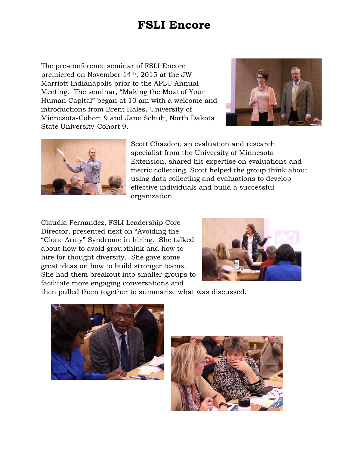## **FSLI Encore**

The pre-conference seminar of FSLI Encore premiered on November 14th, 2015 at the JW Marriott Indianapolis prior to the APLU Annual Meeting. The seminar, "Making the Most of Your Human Capital" began at 10 am with a welcome and introductions from Brent Hales, University of Minnesota-Cohort 9 and Jane Schuh, North Dakota State University-Cohort 9.





Scott Chazdon, an evaluation and research specialist from the University of Minnesota Extension, shared his expertise on evaluations and metric collecting. Scott helped the group think about using data collecting and evaluations to develop effective individuals and build a successful organization.

Claudia Fernandez, FSLI Leadership Core Director, presented next on "Avoiding the "Clone Army" Syndrome in hiring. She talked about how to avoid groupthink and how to hire for thought diversity. She gave some great ideas on how to build stronger teams. She had them breakout into smaller groups to facilitate more engaging conversations and



then pulled them together to summarize what was discussed.